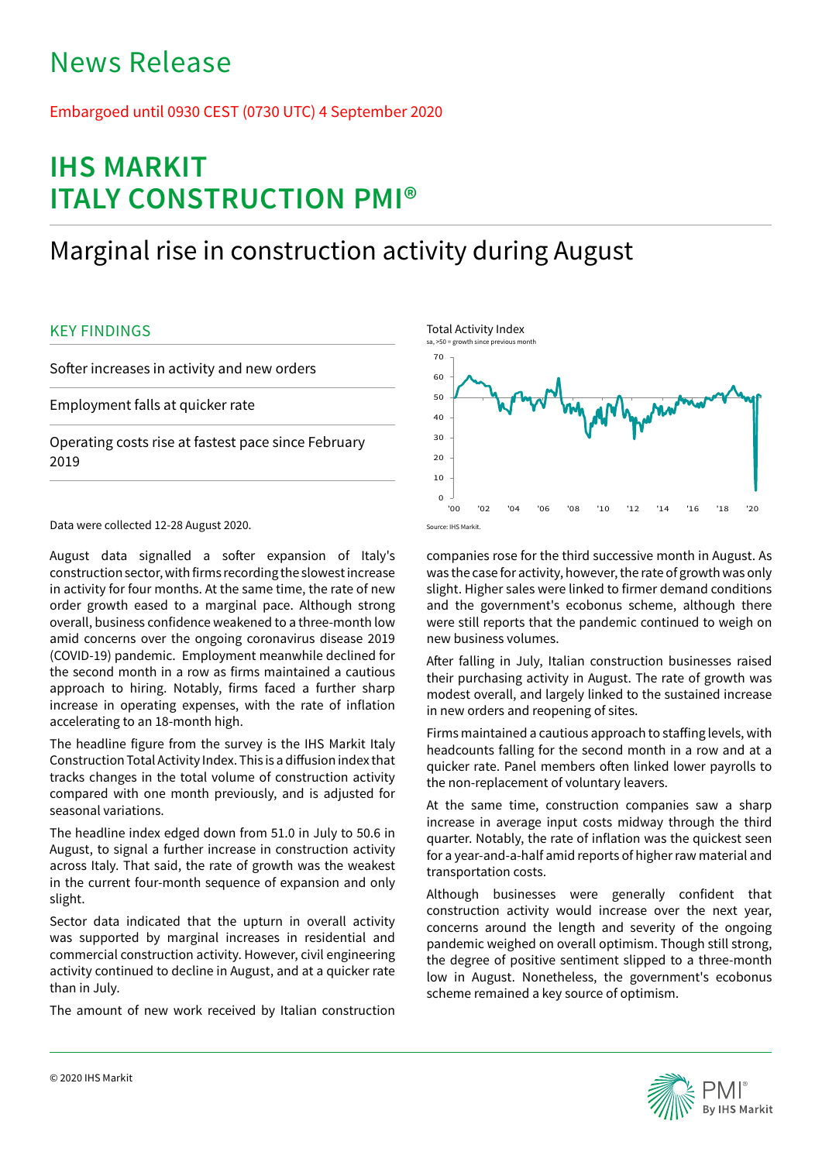# News Release

## Embargoed until 0930 CEST (0730 UTC) 4 September 2020

# **IHS MARKIT ITALY CONSTRUCTION PMI®**

# Marginal rise in construction activity during August

## KEY FINDINGS

Softer increases in activity and new orders

Employment falls at quicker rate

Operating costs rise at fastest pace since February 2019

Data were collected 12-28 August 2020.

August data signalled a softer expansion of Italy's construction sector, with firms recording the slowest increase in activity for four months. At the same time, the rate of new order growth eased to a marginal pace. Although strong overall, business confidence weakened to a three-month low amid concerns over the ongoing coronavirus disease 2019 (COVID-19) pandemic. Employment meanwhile declined for the second month in a row as firms maintained a cautious approach to hiring. Notably, firms faced a further sharp increase in operating expenses, with the rate of inflation accelerating to an 18-month high.

The headline figure from the survey is the IHS Markit Italy Construction Total Activity Index. This is a diffusion index that tracks changes in the total volume of construction activity compared with one month previously, and is adjusted for seasonal variations.

The headline index edged down from 51.0 in July to 50.6 in August, to signal a further increase in construction activity across Italy. That said, the rate of growth was the weakest in the current four-month sequence of expansion and only slight.

Sector data indicated that the upturn in overall activity was supported by marginal increases in residential and commercial construction activity. However, civil engineering activity continued to decline in August, and at a quicker rate than in July.

The amount of new work received by Italian construction



companies rose for the third successive month in August. As was the case for activity, however, the rate of growth was only slight. Higher sales were linked to firmer demand conditions and the government's ecobonus scheme, although there were still reports that the pandemic continued to weigh on new business volumes.

After falling in July, Italian construction businesses raised their purchasing activity in August. The rate of growth was modest overall, and largely linked to the sustained increase in new orders and reopening of sites.

Firms maintained a cautious approach to staffing levels, with headcounts falling for the second month in a row and at a quicker rate. Panel members often linked lower payrolls to the non-replacement of voluntary leavers.

At the same time, construction companies saw a sharp increase in average input costs midway through the third quarter. Notably, the rate of inflation was the quickest seen for a year-and-a-half amid reports of higher raw material and transportation costs.

Although businesses were generally confident that construction activity would increase over the next year, concerns around the length and severity of the ongoing pandemic weighed on overall optimism. Though still strong, the degree of positive sentiment slipped to a three-month low in August. Nonetheless, the government's ecobonus scheme remained a key source of optimism.